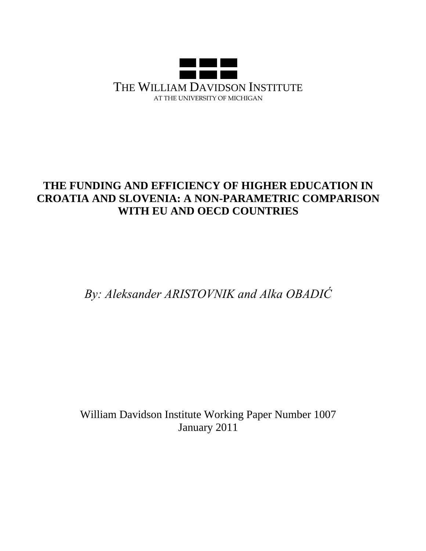

# **THE FUNDING AND EFFICIENCY OF HIGHER EDUCATION IN CROATIA AND SLOVENIA: A NON-PARAMETRIC COMPARISON WITH EU AND OECD COUNTRIES**

*By: Aleksander ARISTOVNIK and Alka OBADIĆ*

William Davidson Institute Working Paper Number 1007 January 2011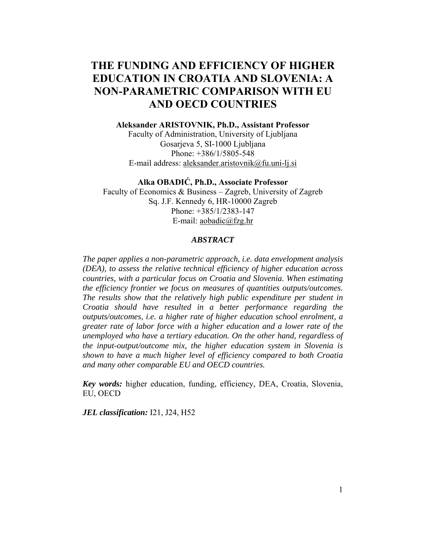## **THE FUNDING AND EFFICIENCY OF HIGHER EDUCATION IN CROATIA AND SLOVENIA: A NON-PARAMETRIC COMPARISON WITH EU AND OECD COUNTRIES**

#### **Aleksander ARISTOVNIK, Ph.D., Assistant Professor**

Faculty of Administration, University of Ljubljana Gosarjeva 5, SI-1000 Ljubljana Phone: +386/1/5805-548 E-mail address: aleksander.aristovnik@fu.uni-lj.si

#### **Alka OBADIĆ, Ph.D., Associate Professor**

Faculty of Economics & Business – Zagreb, University of Zagreb Sq. J.F. Kennedy 6, HR-10000 Zagreb Phone: +385/1/2383-147 E-mail: aobadic@fzg.hr

#### *ABSTRACT*

*The paper applies a non-parametric approach, i.e. data envelopment analysis (DEA), to assess the relative technical efficiency of higher education across countries, with a particular focus on Croatia and Slovenia. When estimating the efficiency frontier we focus on measures of quantities outputs/outcomes. The results show that the relatively high public expenditure per student in Croatia should have resulted in a better performance regarding the outputs/outcomes, i.e. a higher rate of higher education school enrolment, a greater rate of labor force with a higher education and a lower rate of the unemployed who have a tertiary education. On the other hand, regardless of the input-output/outcome mix, the higher education system in Slovenia is shown to have a much higher level of efficiency compared to both Croatia and many other comparable EU and OECD countries.* 

*Key words:* higher education, funding, efficiency, DEA, Croatia, Slovenia, EU, OECD

*JEL classification:* I21, J24, H52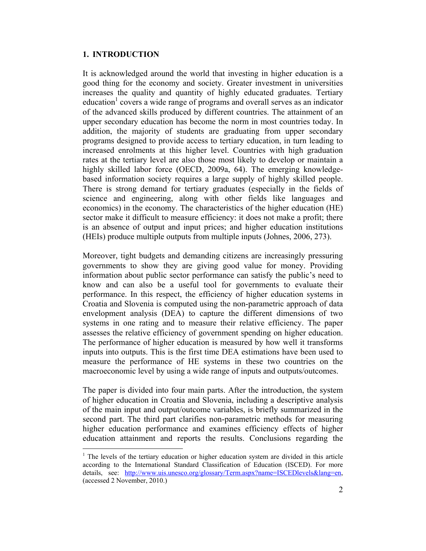### **1. INTRODUCTION**

 $\overline{a}$ 

It is acknowledged around the world that investing in higher education is a good thing for the economy and society. Greater investment in universities increases the quality and quantity of highly educated graduates. Tertiary education<sup>1</sup> covers a wide range of programs and overall serves as an indicator of the advanced skills produced by different countries. The attainment of an upper secondary education has become the norm in most countries today. In addition, the majority of students are graduating from upper secondary programs designed to provide access to tertiary education, in turn leading to increased enrolments at this higher level. Countries with high graduation rates at the tertiary level are also those most likely to develop or maintain a highly skilled labor force (OECD, 2009a, 64). The emerging knowledgebased information society requires a large supply of highly skilled people. There is strong demand for tertiary graduates (especially in the fields of science and engineering, along with other fields like languages and economics) in the economy. The characteristics of the higher education (HE) sector make it difficult to measure efficiency: it does not make a profit; there is an absence of output and input prices; and higher education institutions (HEIs) produce multiple outputs from multiple inputs (Johnes, 2006, 273).

Moreover, tight budgets and demanding citizens are increasingly pressuring governments to show they are giving good value for money. Providing information about public sector performance can satisfy the public's need to know and can also be a useful tool for governments to evaluate their performance. In this respect, the efficiency of higher education systems in Croatia and Slovenia is computed using the non-parametric approach of data envelopment analysis (DEA) to capture the different dimensions of two systems in one rating and to measure their relative efficiency. The paper assesses the relative efficiency of government spending on higher education. The performance of higher education is measured by how well it transforms inputs into outputs. This is the first time DEA estimations have been used to measure the performance of HE systems in these two countries on the macroeconomic level by using a wide range of inputs and outputs/outcomes.

The paper is divided into four main parts. After the introduction, the system of higher education in Croatia and Slovenia, including a descriptive analysis of the main input and output/outcome variables, is briefly summarized in the second part. The third part clarifies non-parametric methods for measuring higher education performance and examines efficiency effects of higher education attainment and reports the results. Conclusions regarding the

 $<sup>1</sup>$  The levels of the tertiary education or higher education system are divided in this article</sup> according to the International Standard Classification of Education (ISCED). For more details, see: http://www.uis.unesco.org/glossary/Term.aspx?name=ISCEDlevels&lang=en, (accessed 2 November, 2010.)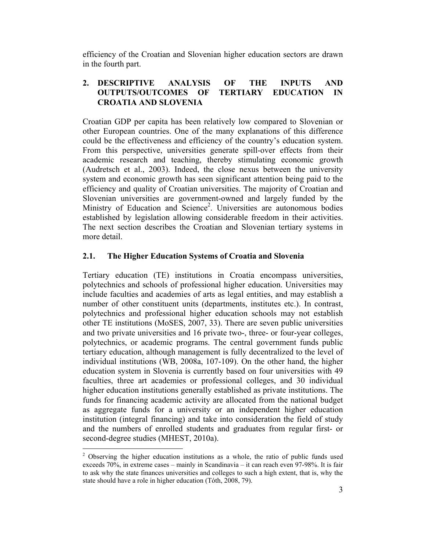efficiency of the Croatian and Slovenian higher education sectors are drawn in the fourth part.

## **2. DESCRIPTIVE ANALYSIS OF THE INPUTS AND OUTPUTS/OUTCOMES OF TERTIARY EDUCATION IN CROATIA AND SLOVENIA**

Croatian GDP per capita has been relatively low compared to Slovenian or other European countries. One of the many explanations of this difference could be the effectiveness and efficiency of the country's education system. From this perspective, universities generate spill-over effects from their academic research and teaching, thereby stimulating economic growth (Audretsch et al., 2003). Indeed, the close nexus between the university system and economic growth has seen significant attention being paid to the efficiency and quality of Croatian universities. The majority of Croatian and Slovenian universities are government-owned and largely funded by the Ministry of Education and Science<sup>2</sup>. Universities are autonomous bodies established by legislation allowing considerable freedom in their activities. The next section describes the Croatian and Slovenian tertiary systems in more detail.

## **2.1. The Higher Education Systems of Croatia and Slovenia**

Tertiary education (TE) institutions in Croatia encompass universities, polytechnics and schools of professional higher education. Universities may include faculties and academies of arts as legal entities, and may establish a number of other constituent units (departments, institutes etc.). In contrast, polytechnics and professional higher education schools may not establish other TE institutions (MoSES, 2007, 33). There are seven public universities and two private universities and 16 private two-, three- or four-year colleges, polytechnics, or academic programs. The central government funds public tertiary education, although management is fully decentralized to the level of individual institutions (WB, 2008a, 107-109). On the other hand, the higher education system in Slovenia is currently based on four universities with 49 faculties, three art academies or professional colleges, and 30 individual higher education institutions generally established as private institutions. The funds for financing academic activity are allocated from the national budget as aggregate funds for a university or an independent higher education institution (integral financing) and take into consideration the field of study and the numbers of enrolled students and graduates from regular first- or second-degree studies (MHEST, 2010a).

 $\overline{a}$ 

 $2$  Observing the higher education institutions as a whole, the ratio of public funds used exceeds 70%, in extreme cases – mainly in Scandinavia – it can reach even 97-98%. It is fair to ask why the state finances universities and colleges to such a high extent, that is, why the state should have a role in higher education (Tóth, 2008, 79).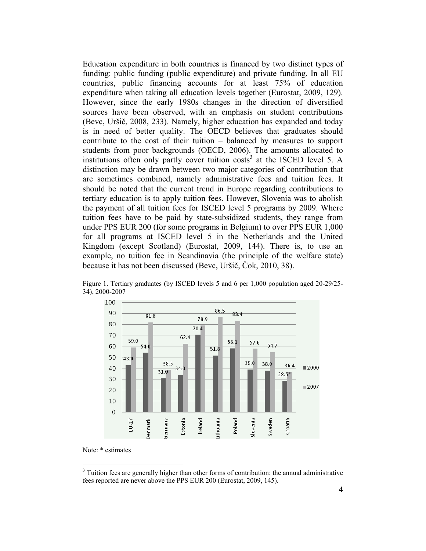Education expenditure in both countries is financed by two distinct types of funding: public funding (public expenditure) and private funding. In all EU countries, public financing accounts for at least 75% of education expenditure when taking all education levels together (Eurostat, 2009, 129). However, since the early 1980s changes in the direction of diversified sources have been observed, with an emphasis on student contributions (Bevc, Uršič, 2008, 233). Namely, higher education has expanded and today is in need of better quality. The OECD believes that graduates should contribute to the cost of their tuition – balanced by measures to support students from poor backgrounds (OECD, 2006). The amounts allocated to institutions often only partly cover tuition  $costs<sup>3</sup>$  at the ISCED level 5. A distinction may be drawn between two major categories of contribution that are sometimes combined, namely administrative fees and tuition fees. It should be noted that the current trend in Europe regarding contributions to tertiary education is to apply tuition fees. However, Slovenia was to abolish the payment of all tuition fees for ISCED level 5 programs by 2009. Where tuition fees have to be paid by state-subsidized students, they range from under PPS EUR 200 (for some programs in Belgium) to over PPS EUR 1,000 for all programs at ISCED level 5 in the Netherlands and the United Kingdom (except Scotland) (Eurostat, 2009, 144). There is, to use an example, no tuition fee in Scandinavia (the principle of the welfare state) because it has not been discussed (Bevc, Uršič, Čok, 2010, 38).



Figure 1. Tertiary graduates (by ISCED levels 5 and 6 per 1,000 population aged 20-29/25- 34), 2000-2007

 $\overline{a}$ 

Note: \* estimates

 $3$  Tuition fees are generally higher than other forms of contribution: the annual administrative fees reported are never above the PPS EUR 200 (Eurostat, 2009, 145).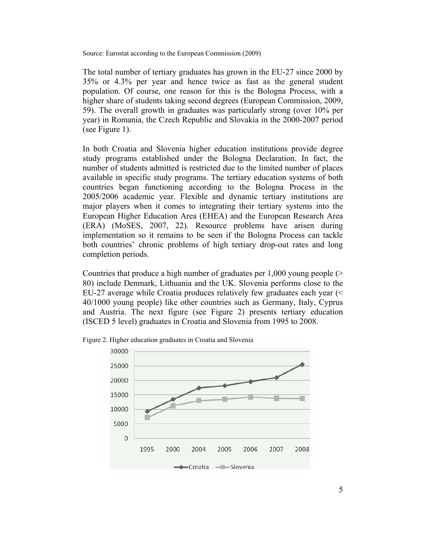Source: Eurostat according to the European Commission (2009)

The total number of tertiary graduates has grown in the EU-27 since 2000 by 35% or 4.3% per year and hence twice as fast as the general student population. Of course, one reason for this is the Bologna Process, with a higher share of students taking second degrees (European Commission, 2009, 59). The overall growth in graduates was particularly strong (over 10% per year) in Romania, the Czech Republic and Slovakia in the 2000-2007 period (see Figure 1).

In both Croatia and Slovenia higher education institutions provide degree study programs established under the Bologna Declaration. In fact, the number of students admitted is restricted due to the limited number of places available in specific study programs. The tertiary education systems of both countries began functioning according to the Bologna Process in the 2005/2006 academic year. Flexible and dynamic tertiary institutions are major players when it comes to integrating their tertiary systems into the European Higher Education Area (EHEA) and the European Research Area (ERA) (MoSES, 2007, 22). Resource problems have arisen during implementation so it remains to be seen if the Bologna Process can tackle both countries' chronic problems of high tertiary drop-out rates and long completion periods.

Countries that produce a high number of graduates per 1,000 young people (> 80) include Denmark, Lithuania and the UK. Slovenia performs close to the EU-27 average while Croatia produces relatively few graduates each year (< 40/1000 young people) like other countries such as Germany, Italy, Cyprus and Austria. The next figure (see Figure 2) presents tertiary education (ISCED 5 level) graduates in Croatia and Slovenia from 1995 to 2008.



Figure 2. Higher education graduates in Croatia and Slovenia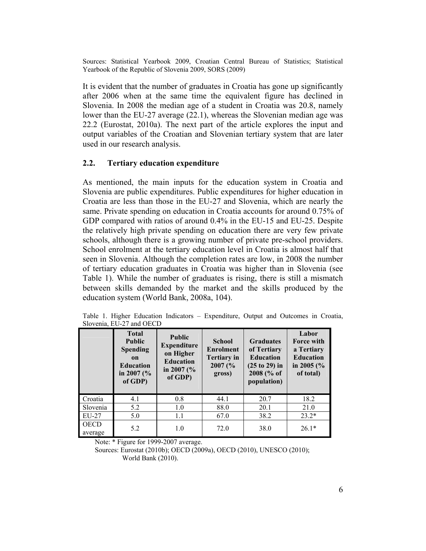Sources: Statistical Yearbook 2009, Croatian Central Bureau of Statistics; Statistical Yearbook of the Republic of Slovenia 2009, SORS (2009)

It is evident that the number of graduates in Croatia has gone up significantly after 2006 when at the same time the equivalent figure has declined in Slovenia. In 2008 the median age of a student in Croatia was 20.8, namely lower than the EU-27 average (22.1), whereas the Slovenian median age was 22.2 (Eurostat, 2010a). The next part of the article explores the input and output variables of the Croatian and Slovenian tertiary system that are later used in our research analysis.

### **2.2. Tertiary education expenditure**

As mentioned, the main inputs for the education system in Croatia and Slovenia are public expenditures. Public expenditures for higher education in Croatia are less than those in the EU-27 and Slovenia, which are nearly the same. Private spending on education in Croatia accounts for around 0.75% of GDP compared with ratios of around 0.4% in the EU-15 and EU-25. Despite the relatively high private spending on education there are very few private schools, although there is a growing number of private pre-school providers. School enrolment at the tertiary education level in Croatia is almost half that seen in Slovenia. Although the completion rates are low, in 2008 the number of tertiary education graduates in Croatia was higher than in Slovenia (see Table 1). While the number of graduates is rising, there is still a mismatch between skills demanded by the market and the skills produced by the education system (World Bank, 2008a, 104).

| Slovenia, EU-27 and OECD |                                                                                                         |                                                                                                   |                                                                              |                                                                                                     |                                                                                      |  |
|--------------------------|---------------------------------------------------------------------------------------------------------|---------------------------------------------------------------------------------------------------|------------------------------------------------------------------------------|-----------------------------------------------------------------------------------------------------|--------------------------------------------------------------------------------------|--|
|                          | <b>Total</b><br><b>Public</b><br><b>Spending</b><br>on<br><b>Education</b><br>in 2007 ( $\%$<br>of GDP) | <b>Public</b><br><b>Expenditure</b><br>on Higher<br><b>Education</b><br>in 2007 ( $\%$<br>of GDP) | <b>School</b><br><b>Enrolment</b><br><b>Tertiary in</b><br>2007 (%<br>gross) | <b>Graduates</b><br>of Tertiary<br><b>Education</b><br>$(25 to 29)$ in<br>2008 (% of<br>population) | Labor<br>Force with<br>a Tertiary<br><b>Education</b><br>in 2005 ( $\%$<br>of total) |  |
| Croatia                  | 4.1                                                                                                     | 0.8                                                                                               | 44.1                                                                         | 20.7                                                                                                | 18.2                                                                                 |  |
| Slovenia                 | 5.2                                                                                                     | 1.0                                                                                               | 88.0                                                                         | 20.1                                                                                                | 21.0                                                                                 |  |
| EU-27                    | 5.0                                                                                                     | 1.1                                                                                               | 67.0                                                                         | 38.2                                                                                                | $23.2*$                                                                              |  |
| <b>OECD</b><br>.         | 5.2                                                                                                     | 1.0                                                                                               | 72.0                                                                         | 38.0                                                                                                | $26.1*$                                                                              |  |

Table 1. Higher Education Indicators – Expenditure, Output and Outcomes in Croatia, Slovenia, EU-27 and OECD

Note: \* Figure for 1999-2007 average.

average

 Sources: Eurostat (2010b); OECD (2009a), OECD (2010), UNESCO (2010); World Bank (2010).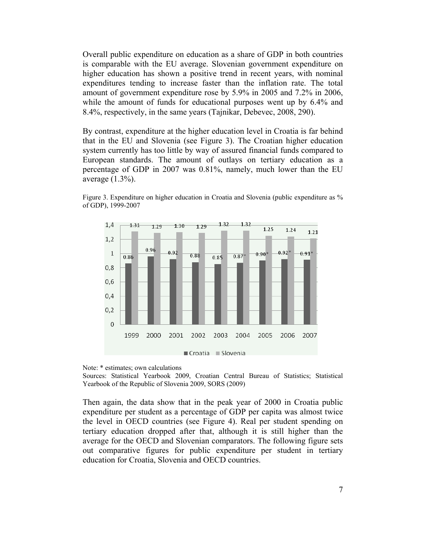Overall public expenditure on education as a share of GDP in both countries is comparable with the EU average. Slovenian government expenditure on higher education has shown a positive trend in recent years, with nominal expenditures tending to increase faster than the inflation rate. The total amount of government expenditure rose by 5.9% in 2005 and 7.2% in 2006, while the amount of funds for educational purposes went up by  $6.4\%$  and 8.4%, respectively, in the same years (Tajnikar, Debevec, 2008, 290).

By contrast, expenditure at the higher education level in Croatia is far behind that in the EU and Slovenia (see Figure 3). The Croatian higher education system currently has too little by way of assured financial funds compared to European standards. The amount of outlays on tertiary education as a percentage of GDP in 2007 was 0.81%, namely, much lower than the EU average (1.3%).



Figure 3. Expenditure on higher education in Croatia and Slovenia (public expenditure as % of GDP), 1999-2007

Note: \* estimates; own calculations

Sources: Statistical Yearbook 2009, Croatian Central Bureau of Statistics; Statistical Yearbook of the Republic of Slovenia 2009, SORS (2009)

Then again, the data show that in the peak year of 2000 in Croatia public expenditure per student as a percentage of GDP per capita was almost twice the level in OECD countries (see Figure 4). Real per student spending on tertiary education dropped after that, although it is still higher than the average for the OECD and Slovenian comparators. The following figure sets out comparative figures for public expenditure per student in tertiary education for Croatia, Slovenia and OECD countries.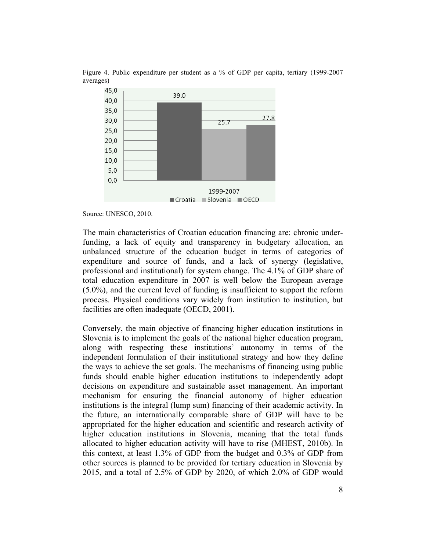

Figure 4. Public expenditure per student as a % of GDP per capita, tertiary (1999-2007 averages)

Source: UNESCO, 2010.

The main characteristics of Croatian education financing are: chronic underfunding, a lack of equity and transparency in budgetary allocation, an unbalanced structure of the education budget in terms of categories of expenditure and source of funds, and a lack of synergy (legislative, professional and institutional) for system change. The 4.1% of GDP share of total education expenditure in 2007 is well below the European average (5.0%), and the current level of funding is insufficient to support the reform process. Physical conditions vary widely from institution to institution, but facilities are often inadequate (OECD, 2001).

Conversely, the main objective of financing higher education institutions in Slovenia is to implement the goals of the national higher education program, along with respecting these institutions' autonomy in terms of the independent formulation of their institutional strategy and how they define the ways to achieve the set goals. The mechanisms of financing using public funds should enable higher education institutions to independently adopt decisions on expenditure and sustainable asset management. An important mechanism for ensuring the financial autonomy of higher education institutions is the integral (lump sum) financing of their academic activity. In the future, an internationally comparable share of GDP will have to be appropriated for the higher education and scientific and research activity of higher education institutions in Slovenia, meaning that the total funds allocated to higher education activity will have to rise (MHEST, 2010b). In this context, at least 1.3% of GDP from the budget and 0.3% of GDP from other sources is planned to be provided for tertiary education in Slovenia by 2015, and a total of 2.5% of GDP by 2020, of which 2.0% of GDP would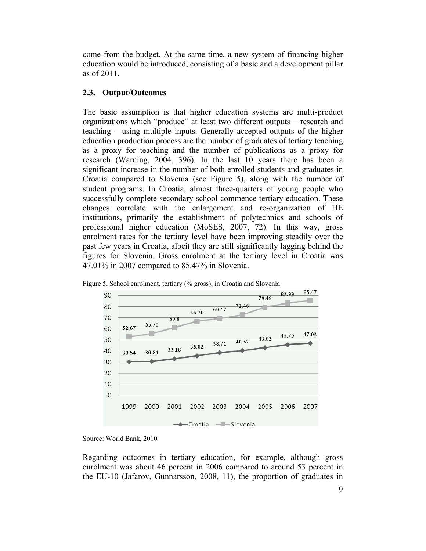come from the budget. At the same time, a new system of financing higher education would be introduced, consisting of a basic and a development pillar as of 2011.

## **2.3. Output/Outcomes**

The basic assumption is that higher education systems are multi-product organizations which "produce" at least two different outputs – research and teaching – using multiple inputs. Generally accepted outputs of the higher education production process are the number of graduates of tertiary teaching as a proxy for teaching and the number of publications as a proxy for research (Warning, 2004, 396). In the last 10 years there has been a significant increase in the number of both enrolled students and graduates in Croatia compared to Slovenia (see Figure 5), along with the number of student programs. In Croatia, almost three-quarters of young people who successfully complete secondary school commence tertiary education. These changes correlate with the enlargement and re-organization of HE institutions, primarily the establishment of polytechnics and schools of professional higher education (MoSES, 2007, 72). In this way, gross enrolment rates for the tertiary level have been improving steadily over the past few years in Croatia, albeit they are still significantly lagging behind the figures for Slovenia. Gross enrolment at the tertiary level in Croatia was 47.01% in 2007 compared to 85.47% in Slovenia.





Regarding outcomes in tertiary education, for example, although gross enrolment was about 46 percent in 2006 compared to around 53 percent in the EU-10 (Jafarov, Gunnarsson, 2008, 11), the proportion of graduates in

Source: World Bank, 2010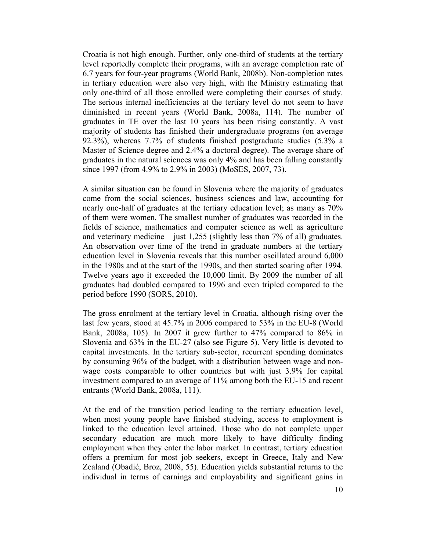Croatia is not high enough. Further, only one-third of students at the tertiary level reportedly complete their programs, with an average completion rate of 6.7 years for four-year programs (World Bank, 2008b). Non-completion rates in tertiary education were also very high, with the Ministry estimating that only one-third of all those enrolled were completing their courses of study. The serious internal inefficiencies at the tertiary level do not seem to have diminished in recent years (World Bank, 2008a, 114). The number of graduates in TE over the last 10 years has been rising constantly. A vast majority of students has finished their undergraduate programs (on average 92.3%), whereas 7.7% of students finished postgraduate studies (5.3% a Master of Science degree and 2.4% a doctoral degree). The average share of graduates in the natural sciences was only 4% and has been falling constantly since 1997 (from 4.9% to 2.9% in 2003) (MoSES, 2007, 73).

A similar situation can be found in Slovenia where the majority of graduates come from the social sciences, business sciences and law, accounting for nearly one-half of graduates at the tertiary education level; as many as 70% of them were women. The smallest number of graduates was recorded in the fields of science, mathematics and computer science as well as agriculture and veterinary medicine – just  $1,255$  (slightly less than 7% of all) graduates. An observation over time of the trend in graduate numbers at the tertiary education level in Slovenia reveals that this number oscillated around 6,000 in the 1980s and at the start of the 1990s, and then started soaring after 1994. Twelve years ago it exceeded the 10,000 limit. By 2009 the number of all graduates had doubled compared to 1996 and even tripled compared to the period before 1990 (SORS, 2010).

The gross enrolment at the tertiary level in Croatia, although rising over the last few years, stood at 45.7% in 2006 compared to 53% in the EU-8 (World Bank, 2008a, 105). In 2007 it grew further to 47% compared to 86% in Slovenia and 63% in the EU-27 (also see Figure 5). Very little is devoted to capital investments. In the tertiary sub-sector, recurrent spending dominates by consuming 96% of the budget, with a distribution between wage and nonwage costs comparable to other countries but with just 3.9% for capital investment compared to an average of 11% among both the EU-15 and recent entrants (World Bank, 2008a, 111).

At the end of the transition period leading to the tertiary education level, when most young people have finished studying, access to employment is linked to the education level attained. Those who do not complete upper secondary education are much more likely to have difficulty finding employment when they enter the labor market. In contrast, tertiary education offers a premium for most job seekers, except in Greece, Italy and New Zealand (Obadić, Broz, 2008, 55). Education yields substantial returns to the individual in terms of earnings and employability and significant gains in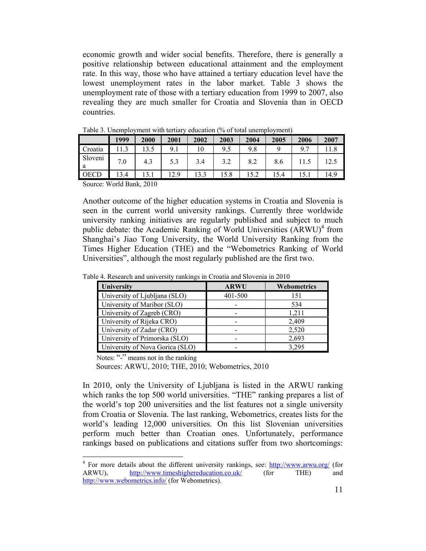economic growth and wider social benefits. Therefore, there is generally a positive relationship between educational attainment and the employment rate. In this way, those who have attained a tertiary education level have the lowest unemployment rates in the labor market. Table 3 shows the unemployment rate of those with a tertiary education from 1999 to 2007, also revealing they are much smaller for Croatia and Slovenia than in OECD countries.

|                | 1999 | 2000 | 2001 | 2002 | 2003 | 2004 | 2005 | 2006 | 2007 |
|----------------|------|------|------|------|------|------|------|------|------|
| Croatia        |      | 3.5  | 9.1  | 10   | 9.5  | 9.8  |      | 9.7  | 1.8  |
| Sloveni<br>' a | 7.0  | 4.3  |      | 3.4  | 3.2  | 8.2  | 8.6  |      | 12.5 |
| <b>OECD</b>    | 3.4  | 13.1 | 12.9 | 13.3 | 15.8 | 15.2 | 15.4 | 15.1 | 14.9 |

Table 3. Unemployment with tertiary education (% of total unemployment)

Source: World Bank, 2010

Another outcome of the higher education systems in Croatia and Slovenia is seen in the current world university rankings. Currently three worldwide university ranking initiatives are regularly published and subject to much public debate: the Academic Ranking of World Universities  $(ARWU)^4$  from Shanghai's Jiao Tong University, the World University Ranking from the Times Higher Education (THE) and the "Webometrics Ranking of World Universities", although the most regularly published are the first two.

| University                      | <b>ARWU</b> | Webometrics |
|---------------------------------|-------------|-------------|
| University of Ljubljana (SLO)   | 401-500     | 151         |
| University of Maribor (SLO)     |             | 534         |
| University of Zagreb (CRO)      |             | 1,211       |
| University of Rijeka CRO)       |             | 2,409       |
| University of Zadar (CRO)       |             | 2,520       |
| University of Primorska (SLO)   |             | 2,693       |
| University of Nova Gorica (SLO) |             | 3.295       |

Table 4. Research and university rankings in Croatia and Slovenia in 2010

Notes: "-" means not in the ranking

 $\overline{a}$ 

Sources: ARWU, 2010; THE, 2010; Webometrics, 2010

In 2010, only the University of Ljubljana is listed in the ARWU ranking which ranks the top 500 world universities. "THE" ranking prepares a list of the world's top 200 universities and the list features not a single university from Croatia or Slovenia. The last ranking, Webometrics, creates lists for the world's leading 12,000 universities. On this list Slovenian universities perform much better than Croatian ones. Unfortunately, performance rankings based on publications and citations suffer from two shortcomings:

<sup>&</sup>lt;sup>4</sup> For more details about the different university rankings, see: http://www.arwu.org/ (for ARWU), http://www.timeshighereducation.co.uk/ (for THE) and http://www.webometrics.info/ (for Webometrics).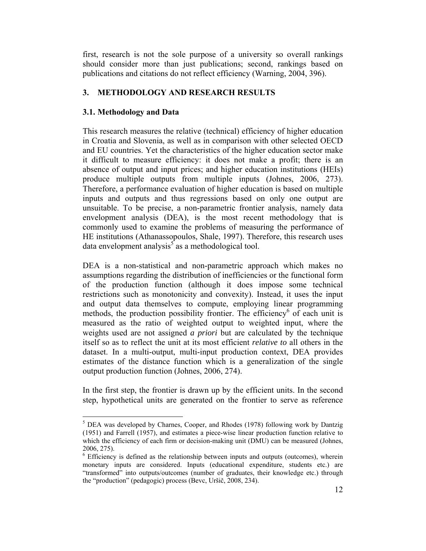first, research is not the sole purpose of a university so overall rankings should consider more than just publications; second, rankings based on publications and citations do not reflect efficiency (Warning, 2004, 396).

## **3. METHODOLOGY AND RESEARCH RESULTS**

## **3.1. Methodology and Data**

 $\overline{a}$ 

This research measures the relative (technical) efficiency of higher education in Croatia and Slovenia, as well as in comparison with other selected OECD and EU countries. Yet the characteristics of the higher education sector make it difficult to measure efficiency: it does not make a profit; there is an absence of output and input prices; and higher education institutions (HEIs) produce multiple outputs from multiple inputs (Johnes, 2006, 273). Therefore, a performance evaluation of higher education is based on multiple inputs and outputs and thus regressions based on only one output are unsuitable. To be precise, a non-parametric frontier analysis, namely data envelopment analysis (DEA), is the most recent methodology that is commonly used to examine the problems of measuring the performance of HE institutions (Athanassopoulos, Shale, 1997). Therefore, this research uses data envelopment analysis<sup>5</sup> as a methodological tool.

DEA is a non-statistical and non-parametric approach which makes no assumptions regarding the distribution of inefficiencies or the functional form of the production function (although it does impose some technical restrictions such as monotonicity and convexity). Instead, it uses the input and output data themselves to compute, employing linear programming methods, the production possibility frontier. The efficiency<sup>6</sup> of each unit is measured as the ratio of weighted output to weighted input, where the weights used are not assigned *a priori* but are calculated by the technique itself so as to reflect the unit at its most efficient *relative to* all others in the dataset. In a multi-output, multi-input production context, DEA provides estimates of the distance function which is a generalization of the single output production function (Johnes, 2006, 274).

In the first step, the frontier is drawn up by the efficient units. In the second step, hypothetical units are generated on the frontier to serve as reference

<sup>&</sup>lt;sup>5</sup> DEA was developed by Charnes, Cooper, and Rhodes (1978) following work by Dantzig (1951) and Farrell (1957), and estimates a piece-wise linear production function relative to which the efficiency of each firm or decision-making unit (DMU) can be measured (Johnes, 2006, 275).

<sup>&</sup>lt;sup>6</sup> Efficiency is defined as the relationship between inputs and outputs (outcomes), wherein monetary inputs are considered. Inputs (educational expenditure, students etc.) are "transformed" into outputs/outcomes (number of graduates, their knowledge etc.) through the "production" (pedagogic) process (Bevc, Uršič, 2008, 234).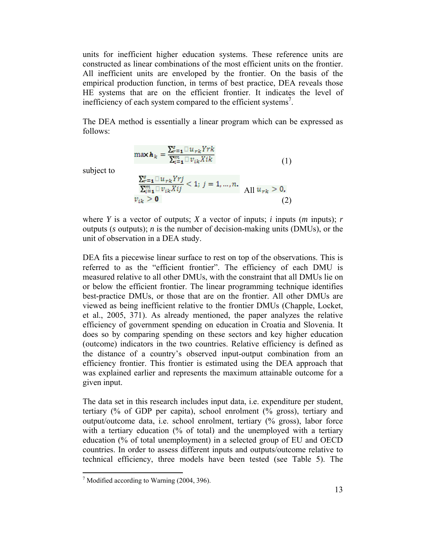units for inefficient higher education systems. These reference units are constructed as linear combinations of the most efficient units on the frontier. All inefficient units are enveloped by the frontier. On the basis of the empirical production function, in terms of best practice, DEA reveals those HE systems that are on the efficient frontier. It indicates the level of inefficiency of each system compared to the efficient systems<sup>7</sup>.

The DEA method is essentially a linear program which can be expressed as follows:

$$
\max \boldsymbol{h}_k = \frac{\sum_{r=1}^{s} \mathbb{U}_{rk} Yrk}{\sum_{i=1}^{m} \mathbb{U}_{ik} Xik}
$$
(1)

subject to

$$
\frac{\sum_{r=1}^{s} \Box u_{rk} Y r j}{\sum_{i=1}^{m} \Box v_{ik} X i j} < 1; \ j = 1, \dots, n. \quad \text{All } u_{rk} > 0. \tag{2}
$$

where *Y* is a vector of outputs; *X* a vector of inputs; *i* inputs (*m* inputs); *r* outputs (*s* outputs); *n* is the number of decision-making units (DMUs), or the unit of observation in a DEA study.

DEA fits a piecewise linear surface to rest on top of the observations. This is referred to as the "efficient frontier". The efficiency of each DMU is measured relative to all other DMUs, with the constraint that all DMUs lie on or below the efficient frontier. The linear programming technique identifies best-practice DMUs, or those that are on the frontier. All other DMUs are viewed as being inefficient relative to the frontier DMUs (Chapple, Locket, et al., 2005, 371). As already mentioned, the paper analyzes the relative efficiency of government spending on education in Croatia and Slovenia. It does so by comparing spending on these sectors and key higher education (outcome) indicators in the two countries. Relative efficiency is defined as the distance of a country's observed input-output combination from an efficiency frontier. This frontier is estimated using the DEA approach that was explained earlier and represents the maximum attainable outcome for a given input.

The data set in this research includes input data, i.e. expenditure per student, tertiary (% of GDP per capita), school enrolment (% gross), tertiary and output/outcome data, i.e. school enrolment, tertiary (% gross), labor force with a tertiary education (% of total) and the unemployed with a tertiary education (% of total unemployment) in a selected group of EU and OECD countries. In order to assess different inputs and outputs/outcome relative to technical efficiency, three models have been tested (see Table 5). The

 7 Modified according to Warning (2004, 396).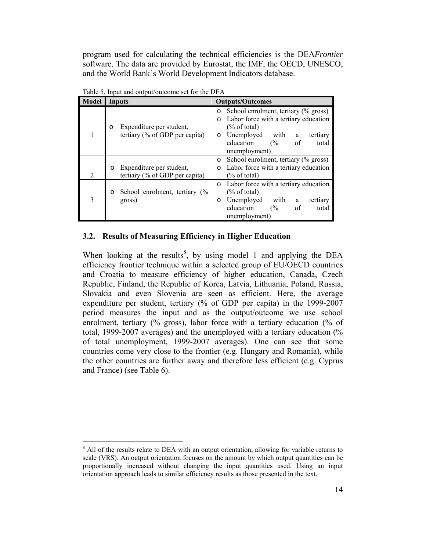program used for calculating the technical efficiencies is the DEA*Frontier*  software. The data are provided by Eurostat, the IMF, the OECD, UNESCO, and the World Bank's World Development Indicators database.

| Model | <b>Inputs</b>                                                            | <b>Outputs/Outcomes</b>                                                                                                                                                                                                               |  |  |  |
|-------|--------------------------------------------------------------------------|---------------------------------------------------------------------------------------------------------------------------------------------------------------------------------------------------------------------------------------|--|--|--|
|       | Expenditure per student,<br>$\circ$<br>tertiary $(\%$ of GDP per capita) | School enrolment, tertiary (% gross)<br>$\circ$<br>Labor force with a tertiary education<br>$\Omega$<br>$(\%$ of total)<br>Unemployed<br>with a<br>tertiary<br>$\Omega$<br>education<br>of<br>$\frac{6}{6}$<br>total<br>unemployment) |  |  |  |
| 2     | Expenditure per student,<br>$\circ$<br>tertiary (% of GDP per capita)    | School enrolment, tertiary (% gross)<br>$\circ$<br>Labor force with a tertiary education<br>$\circ$<br>$\frac{9}{6}$ of total)                                                                                                        |  |  |  |
|       | School enrolment, tertiary $\frac{6}{6}$<br>$\circ$<br>gross)            | Labor force with a tertiary education<br>$\circ$<br>$\frac{6}{6}$ of total)<br>Unemployed<br>with<br>tertiary<br>a<br>$\circ$<br>education<br>of<br>(%<br>total<br>unemployment)                                                      |  |  |  |

Table 5. Input and output/outcome set for the DEA

### **3.2. Results of Measuring Efficiency in Higher Education**

When looking at the results<sup>8</sup>, by using model 1 and applying the DEA efficiency frontier technique within a selected group of EU/OECD countries and Croatia to measure efficiency of higher education, Canada, Czech Republic, Finland, the Republic of Korea, Latvia, Lithuania, Poland, Russia, Slovakia and even Slovenia are seen as efficient. Here, the average expenditure per student, tertiary (% of GDP per capita) in the 1999-2007 period measures the input and as the output/outcome we use school enrolment, tertiary (% gross), labor force with a tertiary education (% of total, 1999-2007 averages) and the unemployed with a tertiary education (% of total unemployment, 1999-2007 averages). One can see that some countries come very close to the frontier (e.g. Hungary and Romania), while the other countries are further away and therefore less efficient (e.g. Cyprus and France) (see Table 6).

 $\overline{a}$ 

<sup>&</sup>lt;sup>8</sup> All of the results relate to DEA with an output orientation, allowing for variable returns to scale (VRS). An output orientation focuses on the amount by which output quantities can be proportionally increased without changing the input quantities used. Using an input orientation approach leads to similar efficiency results as those presented in the text.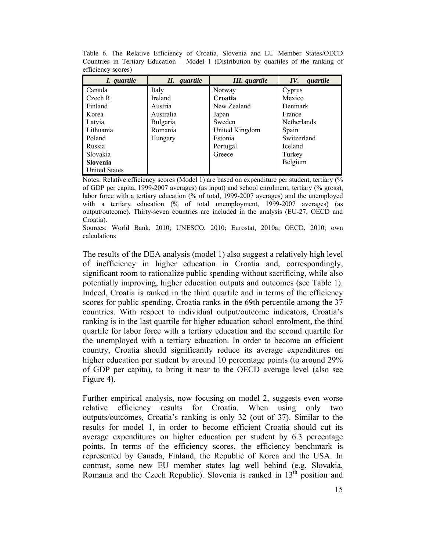| I. quartile          | II. quartile    | III. quartile  | quartile<br>IV.    |
|----------------------|-----------------|----------------|--------------------|
| Canada               | Italy           | Norway         | Cyprus             |
| Czech R.             | Ireland         | Croatia        | Mexico             |
| Finland              | Austria         | New Zealand    | Denmark            |
| Korea                | Australia       | Japan          | France             |
| Latvia               | <b>Bulgaria</b> | Sweden         | <b>Netherlands</b> |
| Lithuania            | Romania         | United Kingdom | Spain              |
| Poland               | Hungary         | Estonia        | Switzerland        |
| Russia               |                 | Portugal       | <b>Iceland</b>     |
| Slovakia             |                 | Greece         | Turkey             |
| <b>Slovenia</b>      |                 |                | Belgium            |
| <b>United States</b> |                 |                |                    |

Table 6. The Relative Efficiency of Croatia, Slovenia and EU Member States/OECD Countries in Tertiary Education – Model 1 (Distribution by quartiles of the ranking of efficiency scores)

Notes: Relative efficiency scores (Model 1) are based on expenditure per student, tertiary  $\frac{1}{2}$ of GDP per capita, 1999-2007 averages) (as input) and school enrolment, tertiary (% gross), labor force with a tertiary education (% of total, 1999-2007 averages) and the unemployed with a tertiary education (% of total unemployment, 1999-2007 averages) (as output/outcome). Thirty-seven countries are included in the analysis (EU-27, OECD and Croatia).

Sources: World Bank, 2010; UNESCO, 2010; Eurostat, 2010a; OECD, 2010; own calculations

The results of the DEA analysis (model 1) also suggest a relatively high level of inefficiency in higher education in Croatia and, correspondingly, significant room to rationalize public spending without sacrificing, while also potentially improving, higher education outputs and outcomes (see Table 1). Indeed, Croatia is ranked in the third quartile and in terms of the efficiency scores for public spending, Croatia ranks in the 69th percentile among the 37 countries. With respect to individual output/outcome indicators, Croatia's ranking is in the last quartile for higher education school enrolment, the third quartile for labor force with a tertiary education and the second quartile for the unemployed with a tertiary education. In order to become an efficient country, Croatia should significantly reduce its average expenditures on higher education per student by around 10 percentage points (to around 29% of GDP per capita), to bring it near to the OECD average level (also see Figure 4).

Further empirical analysis, now focusing on model 2, suggests even worse relative efficiency results for Croatia. When using only two outputs/outcomes, Croatia's ranking is only 32 (out of 37). Similar to the results for model 1, in order to become efficient Croatia should cut its average expenditures on higher education per student by 6.3 percentage points. In terms of the efficiency scores, the efficiency benchmark is represented by Canada, Finland, the Republic of Korea and the USA. In contrast, some new EU member states lag well behind (e.g. Slovakia, Romania and the Czech Republic). Slovenia is ranked in  $13<sup>th</sup>$  position and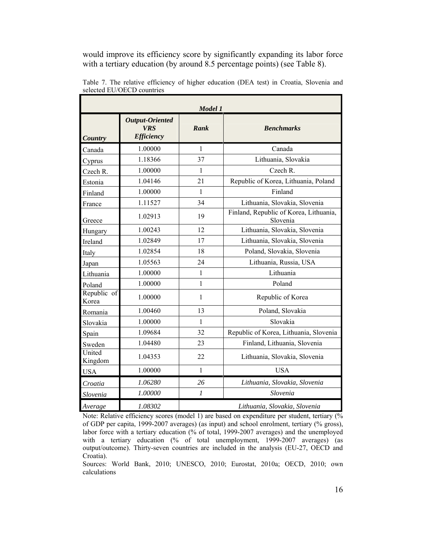would improve its efficiency score by significantly expanding its labor force with a tertiary education (by around 8.5 percentage points) (see Table 8).

| Model 1              |                                                    |                |                                                    |  |  |
|----------------------|----------------------------------------------------|----------------|----------------------------------------------------|--|--|
| Country              | Output-Oriented<br><b>VRS</b><br><b>Efficiency</b> | Rank           | <b>Benchmarks</b>                                  |  |  |
| Canada               | 1.00000                                            | $\mathbf{1}$   | Canada                                             |  |  |
| Cyprus               | 1.18366                                            | 37             | Lithuania, Slovakia                                |  |  |
| Czech R.             | 1.00000                                            | 1              | Czech R.                                           |  |  |
| Estonia              | 1.04146                                            | 21             | Republic of Korea, Lithuania, Poland               |  |  |
| Finland              | 1.00000                                            | 1              | Finland                                            |  |  |
| France               | 1.11527                                            | 34             | Lithuania, Slovakia, Slovenia                      |  |  |
| Greece               | 1.02913                                            | 19             | Finland, Republic of Korea, Lithuania,<br>Slovenia |  |  |
| Hungary              | 1.00243                                            | 12             | Lithuania, Slovakia, Slovenia                      |  |  |
| Ireland              | 1.02849                                            | 17             | Lithuania, Slovakia, Slovenia                      |  |  |
| Italy                | 1.02854                                            | 18             | Poland, Slovakia, Slovenia                         |  |  |
| Japan                | 1.05563                                            | 24             | Lithuania, Russia, USA                             |  |  |
| Lithuania            | 1.00000                                            | $\mathbf{1}$   | Lithuania                                          |  |  |
| Poland               | 1.00000                                            | $\mathbf{1}$   | Poland                                             |  |  |
| Republic of<br>Korea | 1.00000                                            | $\mathbf{1}$   | Republic of Korea                                  |  |  |
| Romania              | 1.00460                                            | 13             | Poland, Slovakia                                   |  |  |
| Slovakia             | 1.00000                                            | $\mathbf{1}$   | Slovakia                                           |  |  |
| Spain                | 1.09684                                            | 32             | Republic of Korea, Lithuania, Slovenia             |  |  |
| Sweden               | 1.04480                                            | 23             | Finland, Lithuania, Slovenia                       |  |  |
| United<br>Kingdom    | 1.04353                                            | 22             | Lithuania, Slovakia, Slovenia                      |  |  |
| <b>USA</b>           | 1.00000                                            | $\mathbf{1}$   | <b>USA</b>                                         |  |  |
| Croatia              | 1.06280                                            | 26             | Lithuania, Slovakia, Slovenia                      |  |  |
| Slovenia             | 1.00000                                            | $\mathfrak{1}$ | Slovenia                                           |  |  |
| Average              | 1.08302                                            |                | Lithuania, Slovakia, Slovenia                      |  |  |

Table 7. The relative efficiency of higher education (DEA test) in Croatia, Slovenia and selected EU/OECD countries

Note: Relative efficiency scores (model 1) are based on expenditure per student, tertiary (% of GDP per capita, 1999-2007 averages) (as input) and school enrolment, tertiary (% gross), labor force with a tertiary education (% of total, 1999-2007 averages) and the unemployed with a tertiary education (% of total unemployment, 1999-2007 averages) (as output/outcome). Thirty-seven countries are included in the analysis (EU-27, OECD and Croatia).

Sources: World Bank, 2010; UNESCO, 2010; Eurostat, 2010a; OECD, 2010; own calculations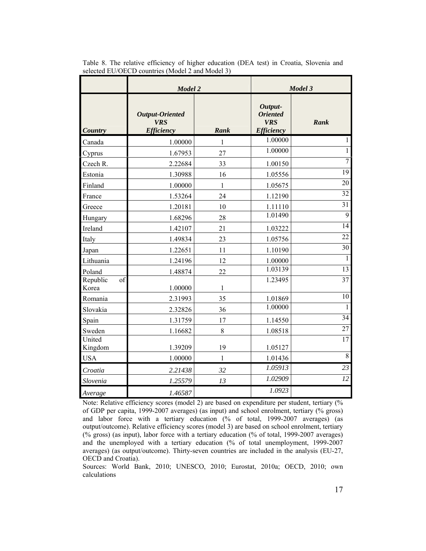|                         | <b>Model 2</b>                                            |              |                                                               | Model 3         |
|-------------------------|-----------------------------------------------------------|--------------|---------------------------------------------------------------|-----------------|
| <b>Country</b>          | <b>Output-Oriented</b><br><b>VRS</b><br><b>Efficiency</b> | Rank         | Output-<br><b>Oriented</b><br><b>VRS</b><br><b>Efficiency</b> | Rank            |
| Canada                  | 1.00000                                                   | 1            | 1.00000                                                       | $\mathbf{1}$    |
| Cyprus                  | 1.67953                                                   | 27           | 1.00000                                                       | $\mathbf{1}$    |
| Czech R.                | 2.22684                                                   | 33           | 1.00150                                                       | $\overline{7}$  |
| Estonia                 | 1.30988                                                   | 16           | 1.05556                                                       | $\overline{19}$ |
| Finland                 | 1.00000                                                   | 1            | 1.05675                                                       | 20              |
| France                  | 1.53264                                                   | 24           | 1.12190                                                       | 32              |
| Greece                  | 1.20181                                                   | 10           | 1.11110                                                       | 31              |
| Hungary                 | 1.68296                                                   | 28           | 1.01490                                                       | 9               |
| Ireland                 | 1.42107                                                   | 21           | 1.03222                                                       | 14              |
| Italy                   | 1.49834                                                   | 23           | 1.05756                                                       | 22              |
| Japan                   | 1.22651                                                   | 11           | 1.10190                                                       | 30              |
| Lithuania               | 1.24196                                                   | 12           | 1.00000                                                       | $\mathbf{1}$    |
| Poland                  | 1.48874                                                   | 22           | 1.03139                                                       | $\overline{13}$ |
| Republic<br>of<br>Korea | 1.00000                                                   | 1            | 1.23495                                                       | $\overline{37}$ |
| Romania                 | 2.31993                                                   | 35           | 1.01869                                                       | 10              |
| Slovakia                | 2.32826                                                   | 36           | 1.00000                                                       | $\overline{1}$  |
| Spain                   | 1.31759                                                   | 17           | 1.14550                                                       | 34              |
| Sweden                  | 1.16682                                                   | 8            | 1.08518                                                       | $\overline{27}$ |
| United<br>Kingdom       | 1.39209                                                   | 19           | 1.05127                                                       | $\overline{17}$ |
| <b>USA</b>              | 1.00000                                                   | $\mathbf{1}$ | 1.01436                                                       | $8\,$           |
| Croatia                 | 2.21438                                                   | 32           | 1.05913                                                       | 23              |
| Slovenia                | 1.25579                                                   | 13           | 1.02909                                                       | 12              |
| Average                 | 1.46587                                                   |              | 1.0923                                                        |                 |

Table 8. The relative efficiency of higher education (DEA test) in Croatia, Slovenia and selected EU/OECD countries (Model 2 and Model 3)

Note: Relative efficiency scores (model 2) are based on expenditure per student, tertiary (%) of GDP per capita, 1999-2007 averages) (as input) and school enrolment, tertiary (% gross) and labor force with a tertiary education (% of total, 1999-2007 averages) (as output/outcome). Relative efficiency scores (model 3) are based on school enrolment, tertiary (% gross) (as input), labor force with a tertiary education (% of total, 1999-2007 averages) and the unemployed with a tertiary education (% of total unemployment, 1999-2007 averages) (as output/outcome). Thirty-seven countries are included in the analysis (EU-27, OECD and Croatia).

Sources: World Bank, 2010; UNESCO, 2010; Eurostat, 2010a; OECD, 2010; own calculations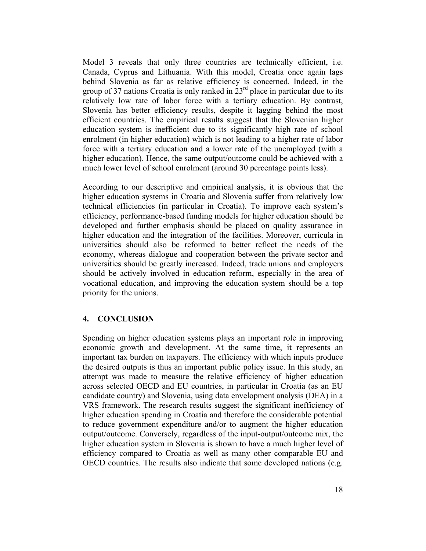Model 3 reveals that only three countries are technically efficient, i.e. Canada, Cyprus and Lithuania. With this model, Croatia once again lags behind Slovenia as far as relative efficiency is concerned. Indeed, in the group of 37 nations Croatia is only ranked in  $23<sup>rd</sup>$  place in particular due to its relatively low rate of labor force with a tertiary education. By contrast, Slovenia has better efficiency results, despite it lagging behind the most efficient countries. The empirical results suggest that the Slovenian higher education system is inefficient due to its significantly high rate of school enrolment (in higher education) which is not leading to a higher rate of labor force with a tertiary education and a lower rate of the unemployed (with a higher education). Hence, the same output/outcome could be achieved with a much lower level of school enrolment (around 30 percentage points less).

According to our descriptive and empirical analysis, it is obvious that the higher education systems in Croatia and Slovenia suffer from relatively low technical efficiencies (in particular in Croatia). To improve each system's efficiency, performance-based funding models for higher education should be developed and further emphasis should be placed on quality assurance in higher education and the integration of the facilities. Moreover, curricula in universities should also be reformed to better reflect the needs of the economy, whereas dialogue and cooperation between the private sector and universities should be greatly increased. Indeed, trade unions and employers should be actively involved in education reform, especially in the area of vocational education, and improving the education system should be a top priority for the unions.

## **4. CONCLUSION**

Spending on higher education systems plays an important role in improving economic growth and development. At the same time, it represents an important tax burden on taxpayers. The efficiency with which inputs produce the desired outputs is thus an important public policy issue. In this study, an attempt was made to measure the relative efficiency of higher education across selected OECD and EU countries, in particular in Croatia (as an EU candidate country) and Slovenia, using data envelopment analysis (DEA) in a VRS framework. The research results suggest the significant inefficiency of higher education spending in Croatia and therefore the considerable potential to reduce government expenditure and/or to augment the higher education output/outcome. Conversely, regardless of the input-output/outcome mix, the higher education system in Slovenia is shown to have a much higher level of efficiency compared to Croatia as well as many other comparable EU and OECD countries. The results also indicate that some developed nations (e.g.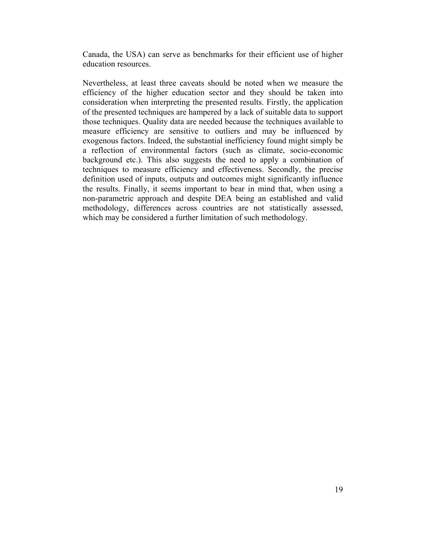Canada, the USA) can serve as benchmarks for their efficient use of higher education resources.

Nevertheless, at least three caveats should be noted when we measure the efficiency of the higher education sector and they should be taken into consideration when interpreting the presented results. Firstly, the application of the presented techniques are hampered by a lack of suitable data to support those techniques. Quality data are needed because the techniques available to measure efficiency are sensitive to outliers and may be influenced by exogenous factors. Indeed, the substantial inefficiency found might simply be a reflection of environmental factors (such as climate, socio-economic background etc.). This also suggests the need to apply a combination of techniques to measure efficiency and effectiveness. Secondly, the precise definition used of inputs, outputs and outcomes might significantly influence the results. Finally, it seems important to bear in mind that, when using a non-parametric approach and despite DEA being an established and valid methodology, differences across countries are not statistically assessed, which may be considered a further limitation of such methodology.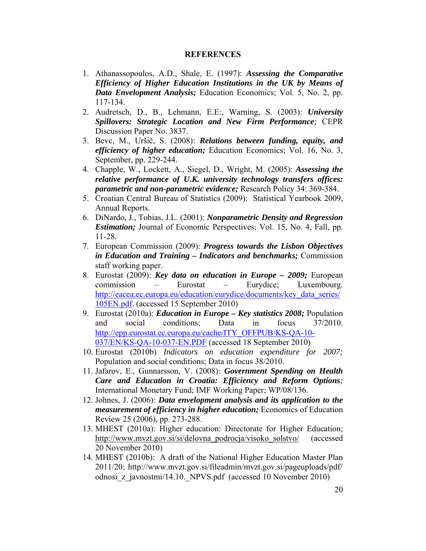#### **REFERENCES**

- 1. Athanassopoulos, A.D., Shale, E. (1997): *Assessing the Comparative Efficiency of Higher Education Institutions in the UK by Means of Data Envelopment Analysis;* Education Economics; Vol. 5, No. 2, pp. 117-134.
- 2. Audretsch, D., B., Lehmann, E.E:, Warning, S. (2003): *University Spillovers: Strategic Location and New Firm Performance;* CEPR Discussion Paper No. 3837.
- 3. Bevc, M., Uršič, S. (2008): *Relations between funding, equity, and efficiency of higher education;* Education Economics; Vol. 16, No. 3, September, pp. 229-244.
- 4. Chapple, W., Lockett, A., Siegel, D., Wright, M. (2005): *Assessing the relative performance of U.K. university technology transfers offices: parametric and non-parametric evidence;* Research Policy 34: 369-384.
- 5. Croatian Central Bureau of Statistics (2009): Statistical Yearbook 2009, Annual Reports.
- 6. DiNardo, J., Tobias, J.L. (2001): *Nonparametric Density and Regression Estimation;* Journal of Economic Perspectives; Vol. 15, No. 4, Fall, pp. 11-28.
- 7. European Commission (2009): *Progress towards the Lisbon Objectives in Education and Training – Indicators and benchmarks;* Commission staff working paper.
- 8. Eurostat (2009): *Key data on education in Europe 2009;* European commission – Eurostat – Eurydice; Luxembourg. http://eacea.ec.europa.eu/education/eurydice/documents/key\_data\_series/ 105EN.pdf. (accessed 15 September 2010)
- 9. Eurostat (2010a): *Education in Europe Key statistics 2008;* Population and social conditions; Data in focus 37/2010. http://epp.eurostat.ec.europa.eu/cache/ITY\_OFFPUB/KS-QA-10-037/EN/KS-QA-10-037-EN.PDF (accessed 18 September 2010)
- 10. Eurostat (2010b) *Indicators on education expenditure for 2007;*  Population and social conditions; Data in focus 38/2010.
- 11. Jafarov, E., Gunnarsson, V. (2008): *Government Spending on Health Care and Education in Croatia: Efficiency and Reform Options;* International Monetary Fund; IMF Working Paper; WP/08/136.
- 12. Johnes, J. (2006): *Data envelopment analysis and its application to the measurement of efficiency in higher education;* Economics of Education Review 25 (2006), pp. 273-288.
- 13. MHEST (2010a): Higher education: Directorate for Higher Education; http://www.mvzt.gov.si/si/delovna\_podrocja/visoko\_solstvo/ (accessed 20 November 2010)
- 14. MHEST (2010b): A draft of the National Higher Education Master Plan 2011/20; http://www.mvzt.gov.si/fileadmin/mvzt.gov.si/pageuploads/pdf/ odnosi\_z\_javnostmi/14.10.\_NPVS.pdf (accessed 10 November 2010)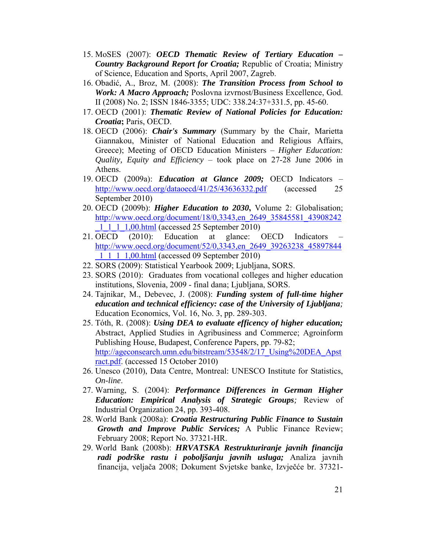- 15. MoSES (2007): *OECD Thematic Review of Tertiary Education Country Background Report for Croatia;* Republic of Croatia; Ministry of Science, Education and Sports, April 2007, Zagreb.
- 16. Obadić, A., Broz, M. (2008): *The Transition Process from School to Work: A Macro Approach;* Poslovna izvrnost/Business Excellence, God. II (2008) No. 2; ISSN 1846-3355; UDC: 338.24:37+331.5, pp. 45-60.
- 17. OECD (2001): *Thematic Review of National Policies for Education: Croatia***;** Paris, OECD.
- 18. OECD (2006): *Chair's Summary* (Summary by the Chair, Marietta Giannakou, Minister of National Education and Religious Affairs, Greece); Meeting of OECD Education Ministers – *Higher Education: Quality, Equity and Efficiency* – took place on 27-28 June 2006 in Athens.
- 19. OECD (2009a): *Education at Glance 2009;* OECD Indicators http://www.oecd.org/dataoecd/41/25/43636332.pdf (accessed 25 September 2010)
- 20. OECD (2009b): *Higher Education to 2030***,** Volume 2: Globalisation; http://www.oecd.org/document/18/0,3343,en\_2649\_35845581\_43908242 \_1\_1\_1\_1,00.html (accessed 25 September 2010)
- 21. OECD (2010): Education at glance: OECD Indicators http://www.oecd.org/document/52/0,3343,en\_2649\_39263238\_45897844 \_1\_1\_1\_1,00.html (accessed 09 September 2010)
- 22. SORS (2009): Statistical Yearbook 2009; Ljubljana, SORS.
- 23. SORS (2010): Graduates from vocational colleges and higher education institutions, Slovenia, 2009 - final dana; Ljubljana, SORS.
- 24. Tajnikar, M., Debevec, J. (2008): *Funding system of full-time higher education and technical efficiency: case of the University of Ljubljana;* Education Economics, Vol. 16, No. 3, pp. 289-303.
- 25. Tóth, R. (2008): *Using DEA to evaluate efficency of higher education;* Abstract, Applied Studies in Agribusiness and Commerce; Agroinform Publishing House, Budapest, Conference Papers, pp. 79-82; http://ageconsearch.umn.edu/bitstream/53548/2/17\_Using%20DEA\_Apst ract.pdf. (accessed 15 October 2010)
- 26. Unesco (2010), Data Centre, Montreal: UNESCO Institute for Statistics, *On-line*.
- 27. Warning, S. (2004): *Performance Differences in German Higher Education: Empirical Analysis of Strategic Groups;* Review of Industrial Organization 24, pp. 393-408.
- 28. World Bank (2008a): *Croatia Restructuring Public Finance to Sustain Growth and Improve Public Services;* A Public Finance Review; February 2008; Report No. 37321-HR.
- 29. World Bank (2008b): *HRVATSKA Restrukturiranje javnih financija radi podrške rastu i poboljšanju javnih usluga;* Analiza javnih financija, veljača 2008; Dokument Svjetske banke, Izvječće br. 37321-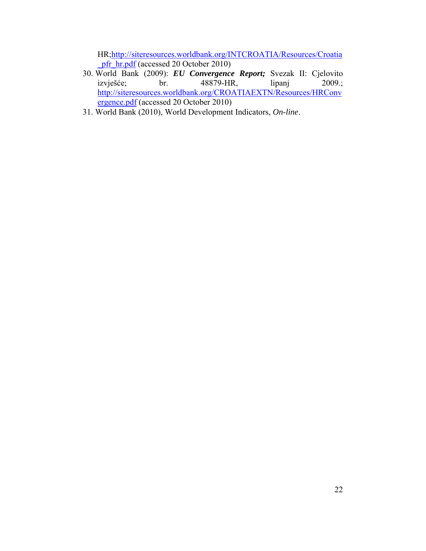HR;http://siteresources.worldbank.org/INTCROATIA/Resources/Croatia pfr\_hr.pdf (accessed 20 October 2010)

- 30. World Bank (2009): *EU Convergence Report;* Svezak II: Cjelovito 48879-HR, lipanj 2009.; http://siteresources.worldbank.org/CROATIAEXTN/Resources/HRConv ergence.pdf (accessed 20 October 2010)
- 31. World Bank (2010), World Development Indicators, *On-line*.